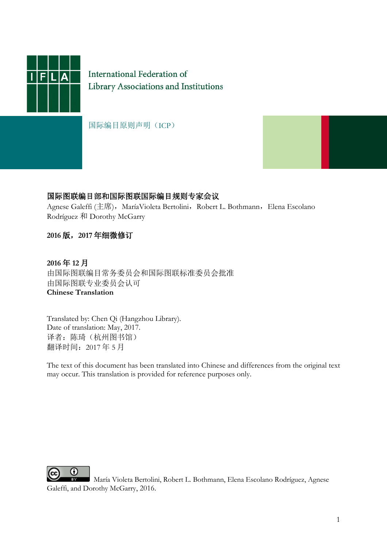

International Federation of Library Associations and Institutions

国际编目原则声明(ICP)



#### 国际图联编目部和国际图联国际编目规则专家会议

Agnese Galeffi (主席), MaríaVioleta Bertolini, Robert L. Bothmann, Elena Escolano Rodríguez 和 Dorothy McGarry

#### **2016** 版,**2017** 年细微修订

**2016** 年 **12** 月 由国际图联编目常务委员会和国际图联标准委员会批准 由国际图联专业委员会认可 **Chinese Translation**

Translated by: Chen Qi (Hangzhou Library). Date of translation: May, 2017. 译者: 陈琦(杭州图书馆) 翻译时间:2017 年 5 月

The text of this document has been translated into Chinese and differences from the original text may occur. This translation is provided for reference purposes only.



María Violeta Bertolini, Robert L. Bothmann, Elena Escolano Rodríguez, Agnese Galeffi, and Dorothy McGarry, 2016.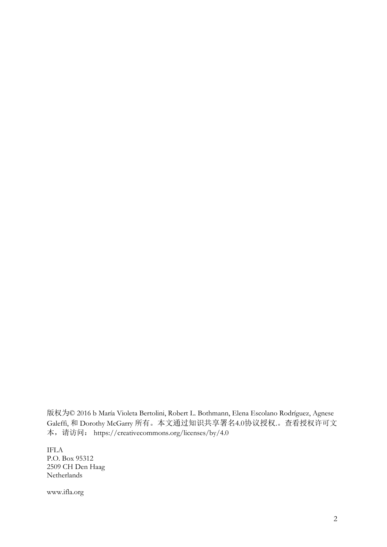版权为© 2016 b María Violeta Bertolini, Robert L. Bothmann, Elena Escolano Rodríguez, Agnese Galeffi, 和 Dorothy McGarry 所有。本文通过知识共享署名4.0协议授权.。查看授权许可文 本,请访问: https://creativecommons.org/licenses/by/4.0

IFLA P.O. Box 95312 2509 CH Den Haag Netherlands

www.ifla.org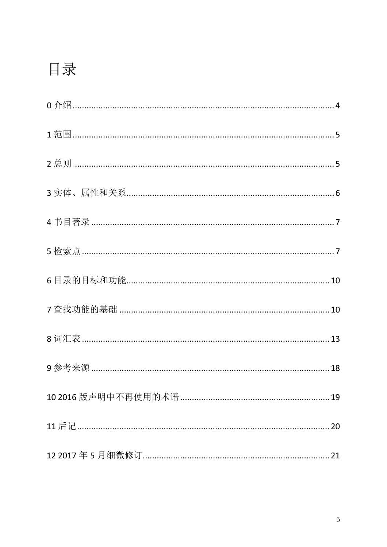# 目录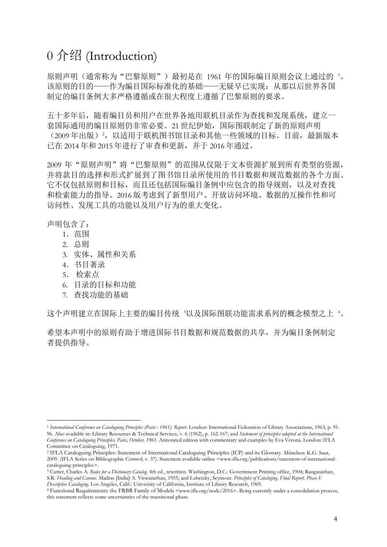### 0 介绍 (Introduction)

原则声明(通常称为"巴黎原则")最初是在 [1](#page-3-0)961 年的国际编目原则会议上通过的 '。 该原则的目的——作为编目国际标准化的基础——无疑早已实现: 从那以后世界各国 制定的编目条例大多严格遵循或在很大程度上遵循了巴黎原则的要求。

五十多年后,随着编目员和用户在世界各地用联机目录作为查找和发现系统,建立一 套国际通用的编目原则仍非常必要。21 世纪伊始,国际图联制定了新的原则声明 ([2](#page-3-1)009年出版)<sup>2</sup>,以适用于联机图书馆目录和其他一些领域的目标。目前,最新版本 已在 2014 年和 2015 年进行了审查和更新,并于 2016 年通过。

2009 年"原则声明"将"巴黎原则"的范围从仅限于文本资源扩展到所有类型的资源, 并将款目的选择和形式扩展到了图书馆目录所使用的书目数据和规范数据的各个方面。 它不仅包括原则和目标,而且还包括国际编目条例中应包含的指导规则,以及对查找 和检索能力的指导。2016 版考虑到了新型用户、开放访问环境、数据的互操作性和可 访问性、发现工具的功能以及用户行为的重大变化。

声明包含了:

- 1.范围
- 2. 总则
- 3. 实体、属性和关系
- 4.书目著录
- 5. 检索点
- 6. 目录的目标和功能
- 7. 查找功能的基础

这个声明建立在国际上主要的编目传统  $^3$  $^3$ 以及国际图联功能需求系列的概念模型之上 "。

希望本声明中的原则有助于增进国际书目数据和规范数据的共享,并为编目条例制定 者提供指导。

<span id="page-3-0"></span> <sup>1</sup> *International Conference on Cataloguing Principles (Paris : 1961). Report*. London: International Federation of Library Associations, 1963, p. 91- 96. Also available in: Library Resources & Technical Services, v. 6 (1962), p. 162-167; and *Statement of principles adopted at the International Conference on Cataloguing Principles, Paris, October, 1961*. Annotated edition with commentary and examples by Eva Verona. London: IFLA Committee on Cataloguing, 1971.

<span id="page-3-1"></span><sup>2</sup> IFLA Cataloguing Principles: Statement of International Cataloguing Principles (ICP) and its Glossary. München: K.G. Saur, 2009. (IFLA Series on Bibliographic Control; v. 37). Statement available online <www.ifla.org/publications/statement-of-international-<br>cataloguing-principles>.

<span id="page-3-2"></span><sup>&</sup>lt;sup>3</sup> Cutter, Charles A. Rules for a Dictionary Catalog. 4th ed., rewritten. Washington, D.C.: Government Printing office, 1904; Ranganathan, S.R. *Heading and Canons*. Madras [India]: S. Viswanathan, 1955; and Lubetzky, Seymour. *Principles of Cataloging. Final Report. Phase I:*  Descriptive Cataloging. Los Angeles, Calif.: University of California, Institute of Library Research, 1969.<br>4 Functional Requirements: the FRBR Family of Models <www.ifla.org/node/2016>. Being currently under a consolidati

<span id="page-3-3"></span>this statement reflects some uncertainties of the transitional phase.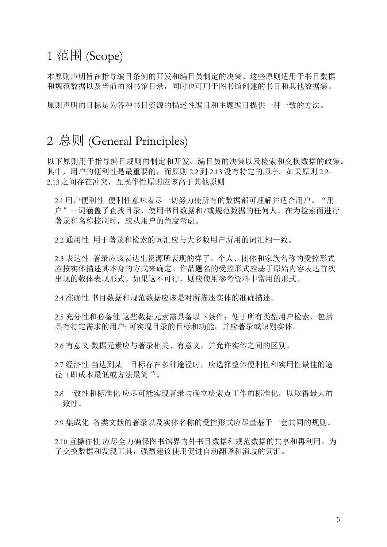### 1 范围 (Scope)

本原则声明旨在指导编目条例的开发和编目员制定的决策。这些原则适用于书目数据 和规范数据以及当前的图书馆目录,同时也可用于图书馆创建的书目和其他数据集。

原则声明的目标是为各种书目资源的描述性编目和主题编目提供一种一致的方法。

#### 2 总则 (General Principles)

以下原则用于指导编目规则的制定和开发、编目员的决策以及检索和交换数据的政策。 其中,用户的便利性是最重要的,而原则 2.2 到 2.13 没有特定的顺序。如果原则 2.2- 2.13 之间存在冲突,互操作性原则应该高于其他原则

2.1 用户便利性 便利性意味着尽一切努力使所有的数据都可理解并适合用户。"用 户"一词涵盖了查找目录、使用书目数据和/或规范数据的任何人。在为检索而进行 著录和名称控制时,应从用户的角度考虑。

2.2 通用性 用于著录和检索的词汇应与大多数用户所用的词汇相一致。

2.3 表达性 著录应该表达出资源所表现的样子。个人、团体和家族名称的受控形式 应按实体描述其本身的方式来确定。作品题名的受控形式应基于原始内容表达首次 出现的载体表现形式。如果这不可行,则应使用参考资料中常用的形式。

2.4 准确性 书目数据和规范数据应该是对所描述实体的准确描述。

2.5 充分性和必备性 这些数据元素需具备以下条件:便于所有类型用户检索,包括 具有特定需求的用户; 可实现目录的目标和功能;并应著录或识别实体。

2.6 有意义 数据元素应与著录相关、有意义,并允许实体之间的区别。

2.7 经济性 当达到某一目标存在多种途径时,应选择整体便利性和实用性最佳的途 径(即成本最低或方法最简单。

2.8 一致性和标准化 应尽可能实现著录与确立检索点工作的标准化,以取得最大的 一致性。

2.9 集成化 各类文献的著录以及实体名称的受控形式应尽量基于一套共同的规则。

2.10 互操作性 应尽全力确保图书馆界内外书目数据和规范数据的共享和再利用。为 了交换数据和发现工具,强烈建议使用促进自动翻译和消歧的词汇。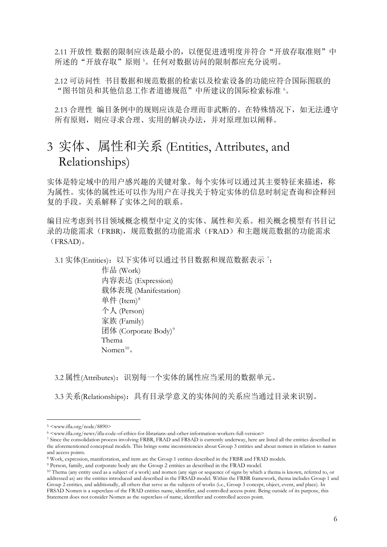2.11 开放性 数据的限制应该是最小的,以便促进透明度并符合"开放存取准则"中 所述的"开放存取"原则 [5](#page-5-0)。任何对数据访问的限制都应充分说明。

2.12 可访问性 书目数据和规范数据的检索以及检索设备的功能应符合国际图联的 "图书馆员和其他信息工作者道德规范"中所建议的国际检索标准 [6](#page-5-1)。

2.13 合理性 编目条例中的规则应该是合理而非武断的。在特殊情况下,如无法遵守 所有原则,则应寻求合理、实用的解决办法,并对原理加以阐释。

#### 3 实体、属性和关系 (Entities, Attributes, and Relationships)

实体是特定域中的用户感兴趣的关键对象。每个实体可以通过其主要特征来描述,称 为属性。实体的属性还可以作为用户在寻找关于特定实体的信息时制定查询和诠释回 复的手段。关系解释了实体之间的联系。

编目应考虑到书目领域概念模型中定义的实体、属性和关系。相关概念模型有书目记 录的功能需求(FRBR),规范数据的功能需求(FRAD)和主题规范数据的功能需求 (FRSAD)。

3.1 实体(Entities):以下实体可以通过书目数据和规范数据表示 ':

作品 (Work) 内容表达 (Expression) 载体表现 (Manifestation) 单件  $(Item)^8$  $(Item)^8$ 个人 (Person) 家族 (Family) 团体 (Corporate Body)<sup>[9](#page-5-4)</sup> Thema Nomen $10<sub>o</sub>$  $10<sub>o</sub>$ 

3.2 属性(Attributes): 识别每一个实体的属性应当采用的数据单元。

3.3 关系(Relationships):具有目录学意义的实体间的关系应当通过目录来识别。

<span id="page-5-1"></span><span id="page-5-0"></span><sup>5 &</sup>lt;www.ifla.org/node/8890><br>6 <www.ifla.org/news/ifla-code-of-ethics-for-librarians-and-other-information-workers-full-version>

<span id="page-5-2"></span><sup>7</sup> Since the consolidation process involving FRBR, FRAD and FRSAD is currently underway, here are listed all the entities described in the aforementioned conceptual models. This brings some inconsistencies about Group 3 entities and about nomen in relation to names and access points.

<span id="page-5-3"></span><sup>8</sup> Work, expression, manifestation, and item are the Group 1 entities described in the FRBR and FRAD models.

<span id="page-5-4"></span><sup>9</sup> Person, family, and corporate body are the Group 2 entities as described in the FRAD model.

<span id="page-5-5"></span><sup>10</sup> Thema (any entity used as a subject of a work) and nomen (any sign or sequence of signs by which a thema is known, referred to, or addressed as) are the entities introduced and described in the FRSAD model. Within the FRBR framework, thema includes Group 1 and Group 2 entities, and additionally, all others that serve as the subjects of works (i.e., Group 3 concept, object, event, and place). In FRSAD Nomen is a superclass of the FRAD entities name, identifier, and controlled access point. Being outside of its purpose, this Statement does not consider Nomen as the superclass of name, identifier and controlled access point.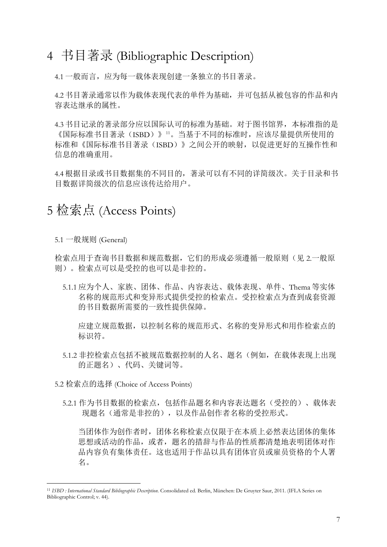#### 4 书目著录 (Bibliographic Description)

4.1 一般而言,应为每一载体表现创建一条独立的书目著录。

4.2 书目著录通常以作为载体表现代表的单件为基础,并可包括从被包容的作品和内 容表达继承的属性。

4.3 书目记录的著录部分应以国际认可的标准为基础。对于图书馆界,本标准指的是 《国际标准书目著录(ISBD)》<sup>[11](#page-6-0)</sup>。当基于不同的标准时,应该尽量提供所使用的 标准和《国际标准书目著录(ISBD)》之间公开的映射,以促进更好的互操作性和 信息的准确重用。

4.4 根据目录或书目数据集的不同目的,著录可以有不同的详简级次。关于目录和书 目数据详简级次的信息应该传达给用户。

### 5 检索点 (Access Points)

5.1 一般规则 (General)

检索点用于查询书目数据和规范数据,它们的形成必须遵循一般原则(见 2.一般原 则)。检索点可以是受控的也可以是非控的。

5.1.1 应为个人、家族、团体、作品、内容表达、载体表现、单件、Thema 等实体 名称的规范形式和变异形式提供受控的检索点。受控检索点为查到成套资源 的书目数据所需要的一致性提供保障。

 应建立规范数据,以控制名称的规范形式、名称的变异形式和用作检索点的 标识符。

5.1.2 非控检索点包括不被规范数据控制的人名、题名(例如,在载体表现上出现 的正题名)、代码、关键词等。

5.2 检索点的选择 (Choice of Access Points)

5.2.1 作为书目数据的检索点,包括作品题名和内容表达题名(受控的)、载体表 现题名(通常是非控的), 以及作品创作者名称的受控形式。

当团体作为创作者时,团体名称检索点仅限于在本质上必然表达团体的集体 思想或活动的作品, 或者, 题名的措辞与作品的性质都清楚地表明团体对作 品内容负有集体责任。这也适用于作品以具有团体官员或雇员资格的个人署 名。

<span id="page-6-0"></span> <sup>11</sup> *ISBD : International Standard Bibliographic Description*. Consolidated ed. Berlin, München: De Gruyter Saur, 2011. (IFLA Series on Bibliographic Control; v. 44).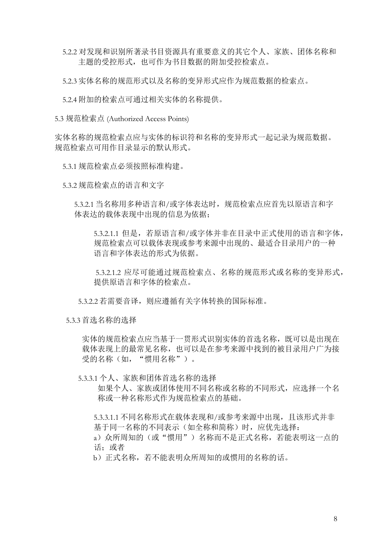5.2.2 对发现和识别所著录书目资源具有重要意义的其它个人、家族、团体名称和 主题的受控形式,也可作为书目数据的附加受控检索点。

5.2.3 实体名称的规范形式以及名称的变异形式应作为规范数据的检索点。

5.2.4 附加的检索点可通过相关实体的名称提供。

5.3 规范检索点 (Authorized Access Points)

实体名称的规范检索点应与实体的标识符和名称的变异形式一起记录为规范数据。 规范检索点可用作目录显示的默认形式。

5.3.1 规范检索点必须按照标准构建。

5.3.2 规范检索点的语言和文字

5.3.2.1 当名称用多种语言和/或字体表达时,规范检索点应首先以原语言和字 体表达的载体表现中出现的信息为依据;

5.3.2.1.1 但是,若原语言和/或字体并非在目录中正式使用的语言和字体, 规范检索点可以载体表现或参考来源中出现的、最适合目录用户的一种 语言和字体表达的形式为依据。

 5.3.2.1.2 应尽可能通过规范检索点、名称的规范形式或名称的变异形式, 提供原语言和字体的检索点。

5.3.2.2 若需要音译,则应遵循有关字体转换的国际标准。

5.3.3 首选名称的选择

实体的规范检索点应当基于一贯形式识别实体的首选名称,既可以是出现在 载体表现上的最常见名称,也可以是在参考来源中找到的被目录用户广为接 受的名称(如,"惯用名称")。

5.3.3.1 个人、家族和团体首选名称的选择

 如果个人、家族或团体使用不同名称或名称的不同形式,应选择一个名 称或一种名称形式作为规范检索点的基础。

5.3.3.1.1 不同名称形式在载体表现和/或参考来源中出现,且该形式并非 基于同一名称的不同表示(如全称和简称)时,应优先选择:

a) 众所周知的(或"惯用") 名称而不是正式名称, 若能表明这一点的 话;或者

b)正式名称,若不能表明众所周知的或惯用的名称的话。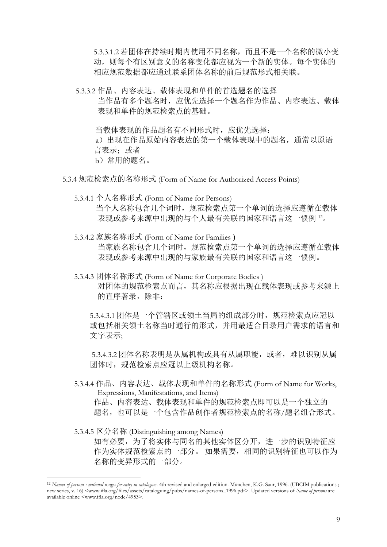5.3.3.1.2 若团体在持续时期内使用不同名称,而且不是一个名称的微小变 动,则每个有区别意义的名称变化都应视为一个新的实体。每个实体的 相应规范数据都应通过联系团体名称的前后规范形式相关联。

 5.3.3.2 作品、内容表达、载体表现和单件的首选题名的选择 当作品有多个题名时,应优先选择一个题名作为作品、内容表达、载体 表现和单件的规范检索点的基础。

当载体表现的作品题名有不同形式时,应优先选择:

a) 出现在作品原始内容表达的第一个载体表现中的题名, 通常以原语 言表示;或者 b)常用的题名。

- 5.3.4 规范检索点的名称形式 (Form of Name for Authorized Access Points)
	- 5.3.4.1 个人名称形式 (Form of Name for Persons) 当个人名称包含几个词时,规范检索点第一个单词的选择应遵循在载体 表现或参考来源中出现的与个人最有关联的国家和语言这一惯例 [12](#page-8-0)。
	- 5.3.4.2 家族名称形式 (Form of Name for Families ) 当家族名称包含几个词时,规范检索点第一个单词的选择应遵循在载体 表现或参考来源中出现的与家族最有关联的国家和语言这一惯例。
	- 5.3.4.3 团体名称形式 (Form of Name for Corporate Bodies ) 对团体的规范检索点而言,其名称应根据出现在载体表现或参考来源上 的直序著录,除非:

5.3.4.3.1 团体是一个管辖区或领土当局的组成部分时,规范检索点应冠以 或包括相关领土名称当时通行的形式,并用最适合目录用户需求的语言和 文字表示;

 5.3.4.3.2 团体名称表明是从属机构或具有从属职能,或者,难以识别从属 团体时,规范检索点应冠以上级机构名称。

- 5.3.4.4 作品、内容表达、载体表现和单件的名称形式 (Form of Name for Works, Expressions, Manifestations, and Items)
	- 作品、内容表达、载体表现和单件的规范检索点即可以是一个独立的 题名,也可以是一个包含作品创作者规范检索点的名称/题名组合形式。
- 5.3.4.5 区分名称 (Distinguishing among Names)

如有必要,为了将实体与同名的其他实体区分开,进一步的识别特征应 作为实体规范检索点的一部分。 如果需要,相同的识别特征也可以作为 名称的变异形式的一部分。

<span id="page-8-0"></span><sup>&</sup>lt;sup>12</sup> *Names of persons : national usages for entry in catalogues*. 4th revised and enlarged edition. München, K.G. Saur, 1996. (UBCIM publications ; new series, v. 16) <www.ifla.org/files/assets/cataloguing/pubs/names-of-persons\_1996.pdf>. Updated versions of *Name of persons* are available online <www.ifla.org/node/4953>.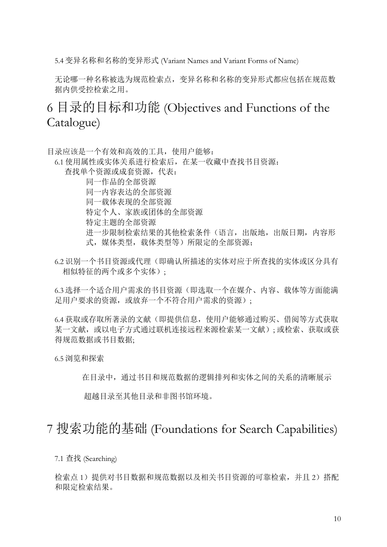5.4 变异名称和名称的变异形式 (Variant Names and Variant Forms of Name)

 无论哪一种名称被选为规范检索点,变异名称和名称的变异形式都应包括在规范数 据内供受控检索之用。

#### 6 目录的目标和功能 (Objectives and Functions of the Catalogue)

目录应该是一个有效和高效的工具,使用户能够:

6.1 使用属性或实体关系进行检索后,在某一收藏中查找书目资源:

查找单个资源或成套资源,代表:

 同一作品的全部资源 同一内容表达的全部资源 同一载体表现的全部资源

特定个人、家族或团体的全部资源

特定主题的全部资源

进一步限制检索结果的其他检索条件(语言,出版地,出版日期,内容形 式,媒体类型,载体类型等)所限定的全部资源;

6.2 识别一个书目资源或代理(即确认所描述的实体对应于所查找的实体或区分具有 相似特征的两个或多个实体);

6.3 选择一个适合用户需求的书目资源(即选取一个在媒介、内容、载体等方面能满 足用户要求的资源, 或放弃一个不符合用户需求的资源);

6.4 获取或存取所著录的文献(即提供信息,使用户能够通过购买、借阅等方式获取 某一文献, 或以电子方式通过联机连接远程来源检索某一文献); 或检索、获取或获 得规范数据或书目数据;

6.5 浏览和探索

在目录中,通过书目和规范数据的逻辑排列和实体之间的关系的清晰展示

超越目录至其他目录和非图书馆环境。

#### 7 搜索功能的基础 (Foundations for Search Capabilities)

7.1 查找 (Searching)

检索点 1) 提供对书目数据和规范数据以及相关书目资源的可靠检索, 并且 2) 搭配 和限定检索结果。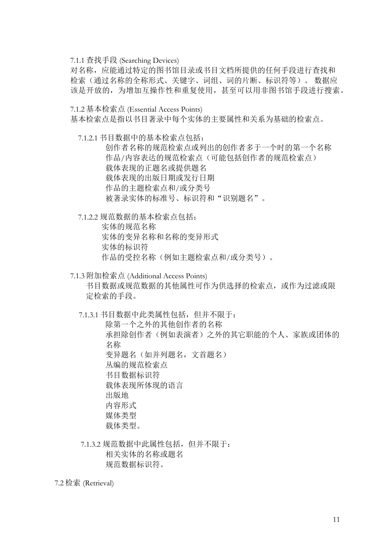7.1.1 查找手段 (Searching Devices)

 对名称,应能通过特定的图书馆目录或书目文档所提供的任何手段进行查找和 检索(通过名称的全称形式、关键字、词组、词的片断、标识符等)。 数据应 该是开放的,为增加互操作性和重复使用,甚至可以用非图书馆手段进行搜索。

7.1.2 基本检索点 (Essential Access Points)

基本检索点是指以书目著录中每个实体的主要属性和关系为基础的检索点。

7.1.2.1 书目数据中的基本检索点包括:

 创作者名称的规范检索点或列出的创作者多于一个时的第一个名称 作品/内容表达的规范检索点(可能包括创作者的规范检索点) 载体表现的正题名或提供题名 载体表现的出版日期或发行日期 作品的主题检索点和/或分类号 被著录实体的标准号、标识符和"识别题名"。

7.1.2.2 规范数据的基本检索点包括:

 实体的规范名称 实体的变异名称和名称的变异形式 实体的标识符 作品的受控名称(例如主题检索点和/或分类号)。

7.1.3 附加检索点 (Additional Access Points) 书目数据或规范数据的其他属性可作为供选择的检索点,或作为过滤或限 定检索的手段。

7.1.3.1 书目数据中此类属性包括,但并不限于:

 除第一个之外的其他创作者的名称 承担除创作者(例如表演者)之外的其它职能的个人、家族或团体的 名称 变异题名(如并列题名,文首题名) 丛编的规范检索点 书目数据标识符 载体表现所体现的语言 出版地 内容形式 媒体类型 载体类型。

 7.1.3.2 规范数据中此属性包括,但并不限于: 相关实体的名称或题名 规范数据标识符。

7.2 检索 (Retrieval)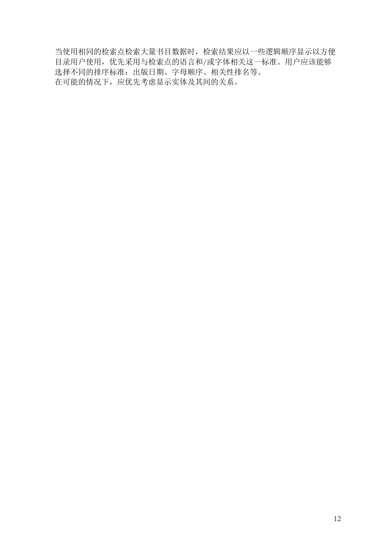当使用相同的检索点检索大量书目数据时,检索结果应以一些逻辑顺序显示以方便 目录用户使用,优先采用与检索点的语言和/或字体相关这一标准。用户应该能够 选择不同的排序标准:出版日期、字母顺序、相关性排名等。 在可能的情况下,应优先考虑显示实体及其间的关系。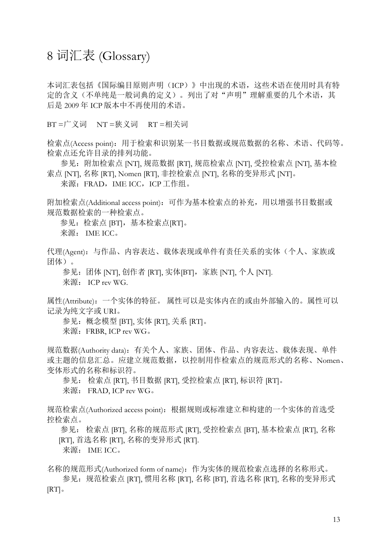#### 8 词汇表 (Glossary)

本词汇表包括《国际编目原则声明(ICP)》中出现的术语,这些术语在使用时具有特 定的含义(不单纯是一般词典的定义)。列出了对"声明"理解重要的几个术语,其 后是 2009 年 ICP 版本中不再使用的术语。

BT =广义词 NT =狭义词 RT =相关词

检索点(Access point):用于检索和识别某一书目数据或规范数据的名称、术语、代码等。 检索点还允许目录的排列功能。

参见:附加检索点 [NT], 规范数据 [RT], 规范检索点 [NT], 受控检索点 [NT], 基本检 索点 [NT], 名称 [RT], Nomen [RT], 非控检索点 [NT], 名称的变异形式 [NT]。

来源: FRAD, IME ICC, ICP 工作组。

附加检索点(Additional access point): 可作为基本检索点的补充, 用以增强书目数据或 规范数据检索的一种检索点。

参见:检索点 [BT],基本检索点[RT]。 来源: IME ICC。

代理(Agent): 与作品、内容表达、载体表现或单件有责任关系的实体(个人、家族或 团体)。

参见:团体 [NT], 创作者 [RT], 实体[BT],家族 [NT], 个人 [NT].

来源: ICP rev WG.

属性(Attribute):一个实体的特征。 属性可以是实体内在的或由外部输入的。属性可以 记录为纯文字或 URI。

参见:概念模型 [BT], 实体 [RT], 关系 [RT]。

来源: FRBR, ICP rev WG。

规范数据(Authority data):有关个人、家族、团体、作品、内容表达、载体表现、单件 或主题的信息汇总。应建立规范数据,以控制用作检索点的规范形式的名称、Nomen、 变体形式的名称和标识符。

参见: 检索点 [RT], 书目数据 [RT], 受控检索点 [RT], 标识符 [RT]。

来源: FRAD, ICP rev WG。

规范检索点(Authorized access point):根据规则或标准建立和构建的一个实体的首选受 控检索点。

 参见: 检索点 [BT], 名称的规范形式 [RT], 受控检索点 [BT], 基本检索点 [RT], 名称 [RT], 首选名称 [RT], 名称的变异形式 [RT].

来源: IME ICC。

名称的规范形式(Authorized form of name):作为实体的规范检索点选择的名称形式。

参见: 规范检索点 [RT], 惯用名称 [RT], 名称 [BT], 首选名称 [RT], 名称的变异形式  $\vert RT \vert$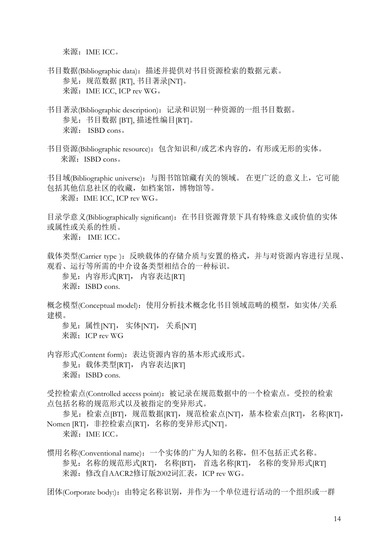来源: IME ICC。

书目数据(Bibliographic data): 描述并提供对书目资源检索的数据元素。 参见: 规范数据 [RT], 书目著录[NT]。 来源: IME ICC, ICP rev WG。

- 书目著录(Bibliographic description): 记录和识别一种资源的一组书目数据。 参见:书目数据 [BT], 描述性编目[RT]。 来源: ISBD cons。
- 书目资源(Bibliographic resource):包含知识和/或艺术内容的,有形或无形的实体。 来源: ISBD cons。

书目域(Bibliographic universe): 与图书馆馆藏有关的领域。 在更广泛的意义上, 它可能 包括其他信息社区的收藏,如档案馆,博物馆等。 来源: IME ICC, ICP rev WG。

目录学意义(Bibliographically significant):在书目资源背景下具有特殊意义或价值的实体 或属性或关系的性质。

来源: IME ICC。

载体类型(Carrier type): 反映载体的存储介质与安置的格式, 并与对资源内容进行呈现、 观看、运行等所需的中介设备类型相结合的一种标识。

参见: 内容形式[RT], 内容表达[RT]

来源: ISBD cons.

概念模型(Conceptual model): 使用分析技术概念化书目领域范畴的模型, 如实体/关系 建模。

参见: 属性[NT], 实体[NT], 关系[NT]

来源: ICP rev WG

内容形式(Content form):表达资源内容的基本形式或形式。

参见: 载体类型[RT], 内容表达[RT]

来源: ISBD cons.

受控检索点(Controlled access point):被记录在规范数据中的一个检索点。受控的检索 点包括名称的规范形式以及被指定的变异形式。

参见: 检索点[BT], 规范数据[RT], 规范检索点[NT], 基本检索点[RT], 名称[RT], Nomen [RT], 非控检索点[RT], 名称的变异形式[NT]。

来源: IME ICC。

惯用名称(Conventional name):一个实体的广为人知的名称,但不包括正式名称。 参见: 名称的规范形式[RT], 名称[BT], 首选名称[RT], 名称的变异形式[RT] 来源:修改自AACR2修订版2002词汇表,ICP rev WG。

团体(Corporate body:):由特定名称识别,并作为一个单位进行活动的一个组织或一群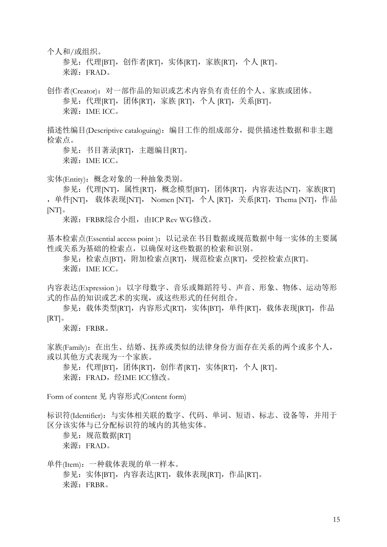个人和/或组织。

参见: 代理[BT], 创作者[RT], 实体[RT], 家族[RT], 个人 [RT]。 来源: FRAD。

创作者(Creator):对一部作品的知识或艺术内容负有责任的个人、家族或团体。 参见:代理[RT],团体[RT],家族 [RT],个人 [RT],关系[BT]。 来源: IME ICC。

描述性编目(Descriptive cataloguing): 编目工作的组成部分, 提供描述性数据和非主题 检索点。

参见: 书目著录[RT], 主题编目[RT]。 来源: IME ICC。

实体(Entity):概念对象的一种抽象类别。

参见:代理[NT],属性[RT],概念模型[BT],团体[RT],内容表达[NT],家族[RT] , 单件[NT], 载体表现[NT], Nomen [NT], 个人 [RT], 关系[RT], Thema [NT], 作品  $[NT]$ 

来源: FRBR综合小组, 由ICP Rev WG修改。

基本检索点(Essential access point): 以记录在书目数据或规范数据中每一实体的主要属 性或关系为基础的检索点,以确保对这些数据的检索和识别。

参见: 检索点[BT], 附加检索点[RT], 规范检索点[RT], 受控检索点[RT]。 来源: IME ICC。

内容表达(Expression): 以字母数字、音乐或舞蹈符号、声音、形象、物体、运动等形 式的作品的知识或艺术的实现,或这些形式的任何组合。

参见: 载体类型[RT], 内容形式[RT], 实体[BT], 单件[RT], 载体表现[RT], 作品  $\vert RT \vert$ 

来源:FRBR。

家族(Family): 在出生、结婚、抚养或类似的法律身份方面存在关系的两个或多个人, 或以其他方式表现为一个家族。

参见:代理[BT],团体[RT],创作者[RT],实体[RT],个人 [RT]。 来源: FRAD, 经IME ICC修改。

Form of content 见 内容形式(Content form)

标识符(Identifier): 与实体相关联的数字、代码、单词、短语、标志、设备等, 并用于 区分该实体与已分配标识符的域内的其他实体。

参见: 规范数据IRTI 来源: FRAD。

单件(Item):一种载体表现的单一样本。 参见: 实体[BT],内容表达[RT],载体表现[RT],作品[RT]。 来源:FRBR。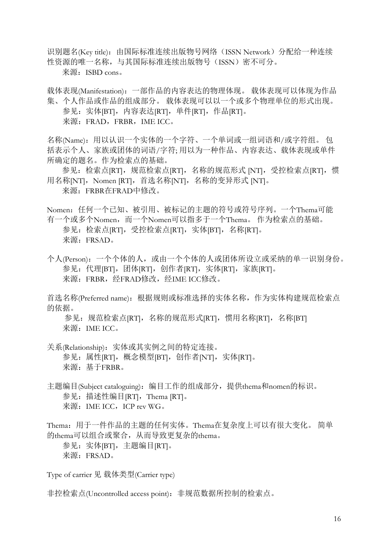识别题名(Key title): 由国际标准连续出版物号网络(ISSN Network) 分配给一种连续 性资源的唯一名称,与其国际标准连续出版物号(ISSN)密不可分。

来源: ISBD cons。

载体表现(Manifestation):一部作品的内容表达的物理体现。 载体表现可以体现为作品 集、个人作品或作品的组成部分。 载体表现可以以一个或多个物理单位的形式出现。 参见: 实体[BT], 内容表达[RT], 单件[RT], 作品[RT]。 来源: FRAD, FRBR, IME ICC。

名称(Name):用以认识一个实体的一个字符、一个单词或一组词语和/或字符组。 包 括表示个人、家族或团体的词语/字符; 用以为一种作品、内容表达、载体表现或单件 所确定的题名。作为检索点的基础。

参见: 检索点[RT], 规范检索点[RT], 名称的规范形式 [NT], 受控检索点[RT], 惯 用名称[NT], Nomen [RT], 首选名称[NT], 名称的变异形式 [NT]。 来源: FRBR在FRAD中修改。

Nomen:任何一个已知、被引用、被标记的主题的符号或符号序列。一个Thema可能 有一个或多个Nomen,而一个Nomen可以指多于一个Thema。 作为检索点的基础。 参见:检索点[RT],受控检索点[RT],实体[BT],名称[RT]。 来源:FRSAD。

个人(Person):一个个体的人,或由一个个体的人或团体所设立或采纳的单一识别身份。 参见:代理[BT], 团体[RT], 创作者[RT], 实体[RT], 家族[RT]。 来源: FRBR, 经FRAD修改, 经IME ICC修改。

首选名称(Preferred name): 根据规则或标准选择的实体名称, 作为实体构建规范检索点 的依据。

参见: 规范检索点[RT],名称的规范形式[RT],惯用名称[RT],名称[BT] 来源: IME ICC。

关系(Relationship):实体或其实例之间的特定连接。 参见: 属性[RT], 概念模型[BT], 创作者[NT], 实体[RT]。 来源:基于FRBR。

主题编目(Subject cataloguing): 编目工作的组成部分, 提供thema和nomen的标识。 参见: 描述性编目[RT], Thema [RT]。 来源: IME ICC, ICP rev WG。

Thema:用于一件作品的主题的任何实体。Thema在复杂度上可以有很大变化。 简单 的thema可以组合或聚合,从而导致更复杂的thema。 参见: 实体[BT], 主题编目[RT]。

来源:FRSAD。

Type of carrier 见 载体类型(Carrier type)

非控检索点(Uncontrolled access point): 非规范数据所控制的检索点。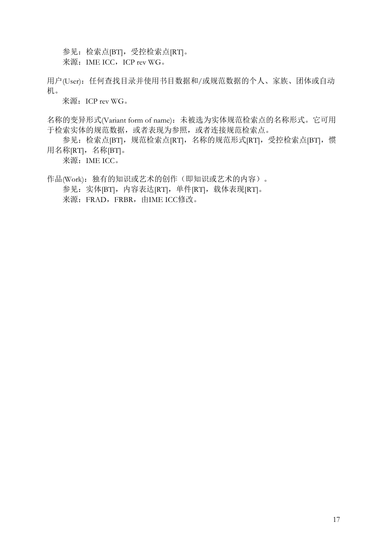参见:检索点[BT],受控检索点[RT]。 来源: IME ICC, ICP rev WG。

用户(User): 任何查找目录并使用书目数据和/或规范数据的个人、家族、团体或自动 机。

来源: ICP rev WG。

名称的变异形式(Variant form of name):未被选为实体规范检索点的名称形式。它可用 于检索实体的规范数据,或者表现为参照,或者连接规范检索点。

参见: 检索点[BT], 规范检索点[RT], 名称的规范形式[RT], 受控检索点[BT], 惯 用名称[RT], 名称[BT]。

来源: IME ICC。

作品(Work): 独有的知识或艺术的创作(即知识或艺术的内容)。 参见: 实体[BT], 内容表达[RT], 单件[RT], 载体表现[RT]。 来源: FRAD, FRBR, 由IME ICC修改。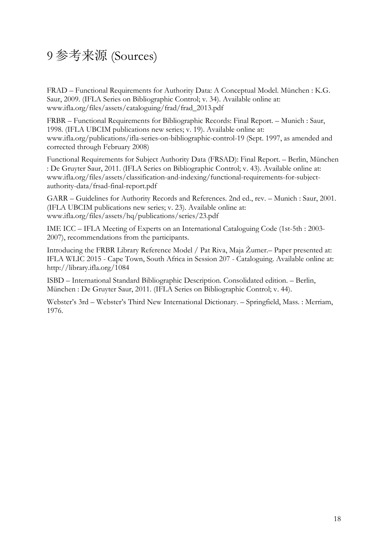## 9 参考来源 (Sources)

FRAD – Functional Requirements for Authority Data: A Conceptual Model. München : K.G. Saur, 2009. (IFLA Series on Bibliographic Control; v. 34). Available online at: www.ifla.org/files/assets/cataloguing/frad/frad\_2013.pdf

FRBR – Functional Requirements for Bibliographic Records: Final Report. – Munich : Saur, 1998. (IFLA UBCIM publications new series; v. 19). Available online at: www.ifla.org/publications/ifla-series-on-bibliographic-control-19 (Sept. 1997, as amended and corrected through February 2008)

Functional Requirements for Subject Authority Data (FRSAD): Final Report. – Berlin, München : De Gruyter Saur, 2011. (IFLA Series on Bibliographic Control; v. 43). Available online at: www.ifla.org/files/assets/classification-and-indexing/functional-requirements-for-subjectauthority-data/frsad-final-report.pdf

GARR – Guidelines for Authority Records and References. 2nd ed., rev. – Munich : Saur, 2001. (IFLA UBCIM publications new series; v. 23). Available online at: www.ifla.org/files/assets/hq/publications/series/23.pdf

IME ICC – IFLA Meeting of Experts on an International Cataloguing Code (1st-5th : 2003- 2007), recommendations from the participants.

Introducing the FRBR Library Reference Model / Pat Riva, Maja Žumer.– Paper presented at: IFLA WLIC 2015 - Cape Town, South Africa in Session 207 - Cataloguing. Available online at: http://library.ifla.org/1084

ISBD – International Standard Bibliographic Description. Consolidated edition. – Berlin, München : De Gruyter Saur, 2011. (IFLA Series on Bibliographic Control; v. 44).

Webster's 3rd – Webster's Third New International Dictionary. – Springfield, Mass. : Merriam, 1976.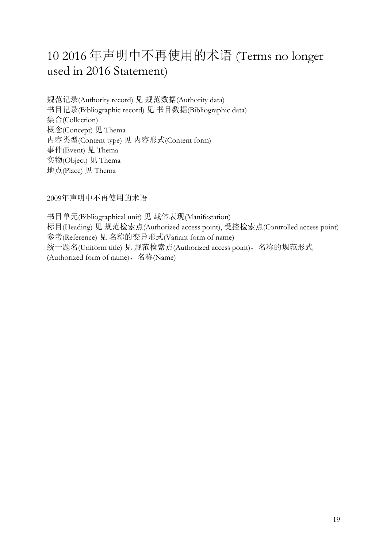# 10 2016 年声明中不再使用的术语 (Terms no longer used in 2016 Statement)

规范记录(Authority record) 见 规范数据(Authority data) 书目记录(Bibliographic record) 见 书目数据(Bibliographic data) 集合(Collection) 概念(Concept) 见 Thema 内容类型(Content type) 见 内容形式(Content form) 事件(Event) 见 Thema 实物(Object) 见 Thema 地点(Place) 见 Thema

2009年声明中不再使用的术语

书目单元(Bibliographical unit) 见 载体表现(Manifestation) 标目(Heading) 见 规范检索点(Authorized access point), 受控检索点(Controlled access point) 参考(Reference) 见 名称的变异形式(Variant form of name) 统一题名(Uniform title) 见 规范检索点(Authorized access point), 名称的规范形式 (Authorized form of name),名称(Name)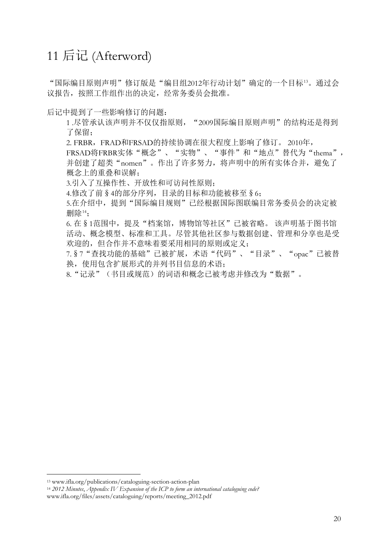#### 11 后记 (Afterword)

"国际编目原则声明"修订版是"编目组2012年行动计划"确定的一个目标[13](#page-19-0)。通过会 议报告,按照工作组作出的决定,经常务委员会批准。

后记中提到了一些影响修订的问题:

1.尽管承认该声明并不仅仅指原则, "2009国际编目原则声明"的结构还是得到 了保留;

2. FRBR, FRAD和FRSAD的持续协调在很大程度上影响了修订。 2010年,

FRSAD将FRBR实体"概念"、"实物"、"事件"和"地点"替代为"thema", 并创建了超类"nomen"。作出了许多努力,将声明中的所有实体合并,避免了 概念上的重叠和误解;

3.引入了互操作性、开放性和可访问性原则;

4.修改了前§4的部分序列,目录的目标和功能被移至§6;

5.在介绍中,提到"国际编目规则"已经根据国际图联编目常务委员会的决定被 删除[14](#page-19-1);

 6. 在§1范围中,提及"档案馆,博物馆等社区"已被省略。 该声明基于图书馆 活动、概念模型、标准和工具。尽管其他社区参与数据创建、管理和分享也是受 欢迎的,但合作并不意味着要采用相同的原则或定义;

 7.§7"查找功能的基础"已被扩展,术语"代码"、"目录"、"opac"已被替 换,使用包含扩展形式的并列书目信息的术语;

8."记录"(书目或规范)的词语和概念已被考虑并修改为"数据"。

<span id="page-19-0"></span><sup>13</sup> www.ifla.org/publications/cataloguing-section-action-plan 14 *2012 Minutes*, *Appendix IV Expansion of the ICP to form an international cataloguing code?* 

<span id="page-19-1"></span>www.ifla.org/files/assets/cataloguing/reports/meeting\_2012.pdf